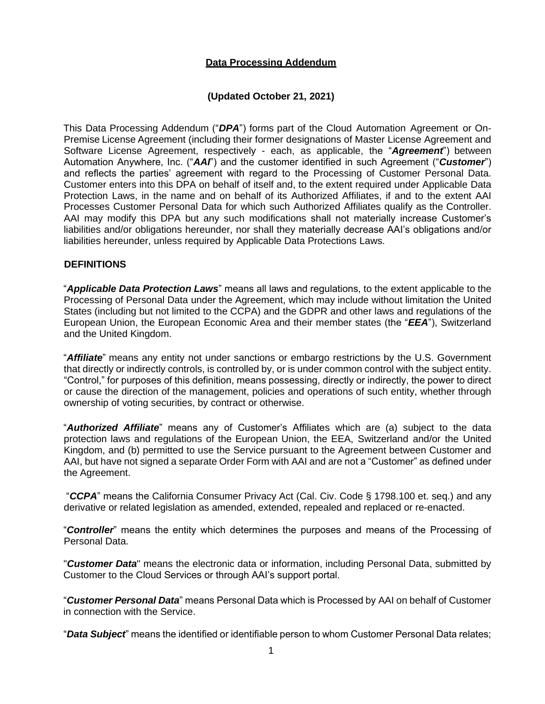# **Data Processing Addendum**

# **(Updated October 21, 2021)**

This Data Processing Addendum ("*DPA*") forms part of the Cloud Automation Agreement or On-Premise License Agreement (including their former designations of Master License Agreement and Software License Agreement, respectively - each, as applicable, the "*Agreement*") between Automation Anywhere, Inc. ("*AAI*") and the customer identified in such Agreement ("*Customer*") and reflects the parties' agreement with regard to the Processing of Customer Personal Data. Customer enters into this DPA on behalf of itself and, to the extent required under Applicable Data Protection Laws, in the name and on behalf of its Authorized Affiliates, if and to the extent AAI Processes Customer Personal Data for which such Authorized Affiliates qualify as the Controller. AAI may modify this DPA but any such modifications shall not materially increase Customer's liabilities and/or obligations hereunder, nor shall they materially decrease AAI's obligations and/or liabilities hereunder, unless required by Applicable Data Protections Laws.

#### **DEFINITIONS**

"*Applicable Data Protection Laws*" means all laws and regulations, to the extent applicable to the Processing of Personal Data under the Agreement, which may include without limitation the United States (including but not limited to the CCPA) and the GDPR and other laws and regulations of the European Union, the European Economic Area and their member states (the "*EEA*"), Switzerland and the United Kingdom.

"*Affiliate*" means any entity not under sanctions or embargo restrictions by the U.S. Government that directly or indirectly controls, is controlled by, or is under common control with the subject entity. "Control," for purposes of this definition, means possessing, directly or indirectly, the power to direct or cause the direction of the management, policies and operations of such entity, whether through ownership of voting securities, by contract or otherwise.

"*Authorized Affiliate*" means any of Customer's Affiliates which are (a) subject to the data protection laws and regulations of the European Union, the EEA, Switzerland and/or the United Kingdom, and (b) permitted to use the Service pursuant to the Agreement between Customer and AAI, but have not signed a separate Order Form with AAI and are not a "Customer" as defined under the Agreement.

"*CCPA*" means the California Consumer Privacy Act (Cal. Civ. Code § 1798.100 et. seq.) and any derivative or related legislation as amended, extended, repealed and replaced or re-enacted.

"*Controller*" means the entity which determines the purposes and means of the Processing of Personal Data.

"*Customer Data*" means the electronic data or information, including Personal Data, submitted by Customer to the Cloud Services or through AAI's support portal.

"*Customer Personal Data*" means Personal Data which is Processed by AAI on behalf of Customer in connection with the Service.

"*Data Subject*" means the identified or identifiable person to whom Customer Personal Data relates;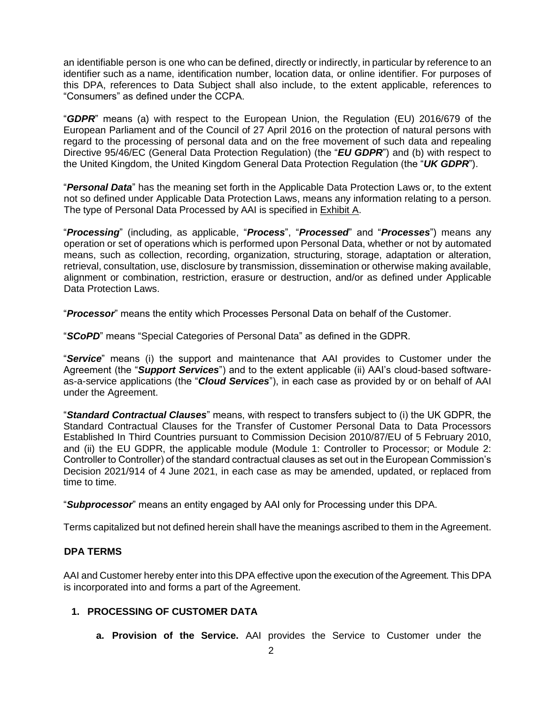an identifiable person is one who can be defined, directly or indirectly, in particular by reference to an identifier such as a name, identification number, location data, or online identifier. For purposes of this DPA, references to Data Subject shall also include, to the extent applicable, references to "Consumers" as defined under the CCPA.

"*GDPR*" means (a) with respect to the European Union, the Regulation (EU) 2016/679 of the European Parliament and of the Council of 27 April 2016 on the protection of natural persons with regard to the processing of personal data and on the free movement of such data and repealing Directive 95/46/EC (General Data Protection Regulation) (the "*EU GDPR*") and (b) with respect to the United Kingdom, the United Kingdom General Data Protection Regulation (the "*UK GDPR*").

"*Personal Data*" has the meaning set forth in the Applicable Data Protection Laws or, to the extent not so defined under Applicable Data Protection Laws, means any information relating to a person. The type of Personal Data Processed by AAI is specified in Exhibit A.

"*Processing*" (including, as applicable, "*Process*", "*Processed*" and "*Processes*") means any operation or set of operations which is performed upon Personal Data, whether or not by automated means, such as collection, recording, organization, structuring, storage, adaptation or alteration, retrieval, consultation, use, disclosure by transmission, dissemination or otherwise making available, alignment or combination, restriction, erasure or destruction, and/or as defined under Applicable Data Protection Laws.

"*Processor*" means the entity which Processes Personal Data on behalf of the Customer.

"*SCoPD*" means "Special Categories of Personal Data" as defined in the GDPR.

"*Service*" means (i) the support and maintenance that AAI provides to Customer under the Agreement (the "*Support Services*") and to the extent applicable (ii) AAI's cloud-based softwareas-a-service applications (the "*Cloud Services*"), in each case as provided by or on behalf of AAI under the Agreement.

"*Standard Contractual Clauses*" means, with respect to transfers subject to (i) the UK GDPR, the Standard Contractual Clauses for the Transfer of Customer Personal Data to Data Processors Established In Third Countries pursuant to Commission Decision 2010/87/EU of 5 February 2010, and (ii) the EU GDPR, the applicable module (Module 1: Controller to Processor; or Module 2: Controller to Controller) of the standard contractual clauses as set out in the European Commission's Decision 2021/914 of 4 June 2021, in each case as may be amended, updated, or replaced from time to time.

"*Subprocessor*" means an entity engaged by AAI only for Processing under this DPA.

Terms capitalized but not defined herein shall have the meanings ascribed to them in the Agreement.

# **DPA TERMS**

AAI and Customer hereby enter into this DPA effective upon the execution of the Agreement. This DPA is incorporated into and forms a part of the Agreement.

# **1. PROCESSING OF CUSTOMER DATA**

**a. Provision of the Service.** AAI provides the Service to Customer under the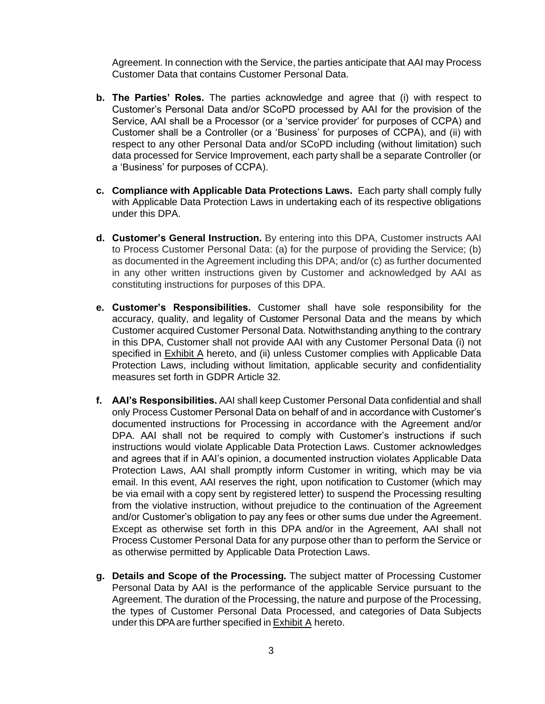Agreement. In connection with the Service, the parties anticipate that AAI may Process Customer Data that contains Customer Personal Data.

- **b. The Parties' Roles.** The parties acknowledge and agree that (i) with respect to Customer's Personal Data and/or SCoPD processed by AAI for the provision of the Service, AAI shall be a Processor (or a 'service provider' for purposes of CCPA) and Customer shall be a Controller (or a 'Business' for purposes of CCPA), and (ii) with respect to any other Personal Data and/or SCoPD including (without limitation) such data processed for Service Improvement, each party shall be a separate Controller (or a 'Business' for purposes of CCPA).
- **c. Compliance with Applicable Data Protections Laws.** Each party shall comply fully with Applicable Data Protection Laws in undertaking each of its respective obligations under this DPA.
- **d. Customer's General Instruction.** By entering into this DPA, Customer instructs AAI to Process Customer Personal Data: (a) for the purpose of providing the Service; (b) as documented in the Agreement including this DPA; and/or (c) as further documented in any other written instructions given by Customer and acknowledged by AAI as constituting instructions for purposes of this DPA.
- **e. Customer's Responsibilities.** Customer shall have sole responsibility for the accuracy, quality, and legality of Customer Personal Data and the means by which Customer acquired Customer Personal Data. Notwithstanding anything to the contrary in this DPA, Customer shall not provide AAI with any Customer Personal Data (i) not specified in Exhibit A hereto, and (ii) unless Customer complies with Applicable Data Protection Laws, including without limitation, applicable security and confidentiality measures set forth in GDPR Article 32.
- **f. AAI's Responsibilities.** AAI shall keep Customer Personal Data confidential and shall only Process Customer Personal Data on behalf of and in accordance with Customer's documented instructions for Processing in accordance with the Agreement and/or DPA. AAI shall not be required to comply with Customer's instructions if such instructions would violate Applicable Data Protection Laws. Customer acknowledges and agrees that if in AAI's opinion, a documented instruction violates Applicable Data Protection Laws, AAI shall promptly inform Customer in writing, which may be via email. In this event, AAI reserves the right, upon notification to Customer (which may be via email with a copy sent by registered letter) to suspend the Processing resulting from the violative instruction, without prejudice to the continuation of the Agreement and/or Customer's obligation to pay any fees or other sums due under the Agreement. Except as otherwise set forth in this DPA and/or in the Agreement, AAI shall not Process Customer Personal Data for any purpose other than to perform the Service or as otherwise permitted by Applicable Data Protection Laws.
- **g. Details and Scope of the Processing.** The subject matter of Processing Customer Personal Data by AAI is the performance of the applicable Service pursuant to the Agreement. The duration of the Processing, the nature and purpose of the Processing, the types of Customer Personal Data Processed, and categories of Data Subjects under this DPA are further specified in  $Exhibit A$  hereto.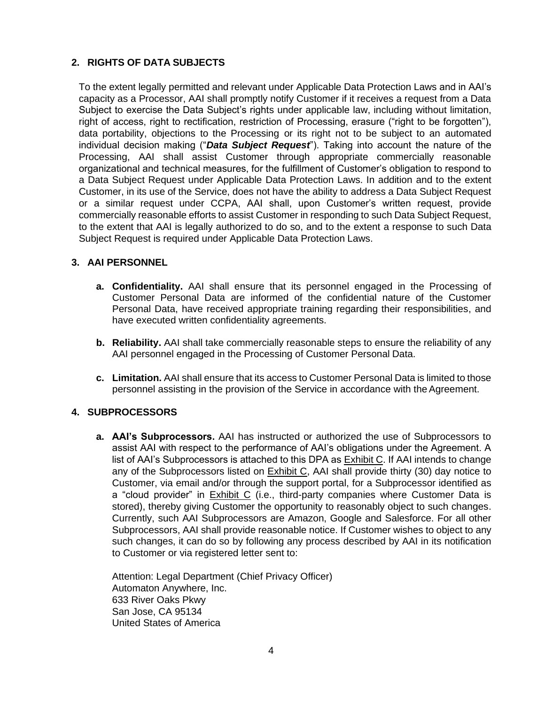# **2. RIGHTS OF DATA SUBJECTS**

To the extent legally permitted and relevant under Applicable Data Protection Laws and in AAI's capacity as a Processor, AAI shall promptly notify Customer if it receives a request from a Data Subject to exercise the Data Subject's rights under applicable law, including without limitation, right of access, right to rectification, restriction of Processing, erasure ("right to be forgotten"), data portability, objections to the Processing or its right not to be subject to an automated individual decision making ("*Data Subject Request*"). Taking into account the nature of the Processing, AAI shall assist Customer through appropriate commercially reasonable organizational and technical measures, for the fulfillment of Customer's obligation to respond to a Data Subject Request under Applicable Data Protection Laws. In addition and to the extent Customer, in its use of the Service, does not have the ability to address a Data Subject Request or a similar request under CCPA, AAI shall, upon Customer's written request, provide commercially reasonable efforts to assist Customer in responding to such Data Subject Request, to the extent that AAI is legally authorized to do so, and to the extent a response to such Data Subject Request is required under Applicable Data Protection Laws.

# **3. AAI PERSONNEL**

- **a. Confidentiality.** AAI shall ensure that its personnel engaged in the Processing of Customer Personal Data are informed of the confidential nature of the Customer Personal Data, have received appropriate training regarding their responsibilities, and have executed written confidentiality agreements.
- **b. Reliability.** AAI shall take commercially reasonable steps to ensure the reliability of any AAI personnel engaged in the Processing of Customer Personal Data.
- **c. Limitation.** AAI shall ensure that its access to Customer Personal Data is limited to those personnel assisting in the provision of the Service in accordance with theAgreement.

# **4. SUBPROCESSORS**

**a. AAI's Subprocessors.** AAI has instructed or authorized the use of Subprocessors to assist AAI with respect to the performance of AAI's obligations under the Agreement. A list of AAI's Subprocessors is attached to this DPA as Exhibit C. If AAI intends to change any of the Subprocessors listed on Exhibit C, AAI shall provide thirty (30) day notice to Customer, via email and/or through the support portal, for a Subprocessor identified as a "cloud provider" in Exhibit C (i.e., third-party companies where Customer Data is stored), thereby giving Customer the opportunity to reasonably object to such changes. Currently, such AAI Subprocessors are Amazon, Google and Salesforce. For all other Subprocessors, AAI shall provide reasonable notice. If Customer wishes to object to any such changes, it can do so by following any process described by AAI in its notification to Customer or via registered letter sent to:

Attention: Legal Department (Chief Privacy Officer) Automaton Anywhere, Inc. 633 River Oaks Pkwy San Jose, CA 95134 United States of America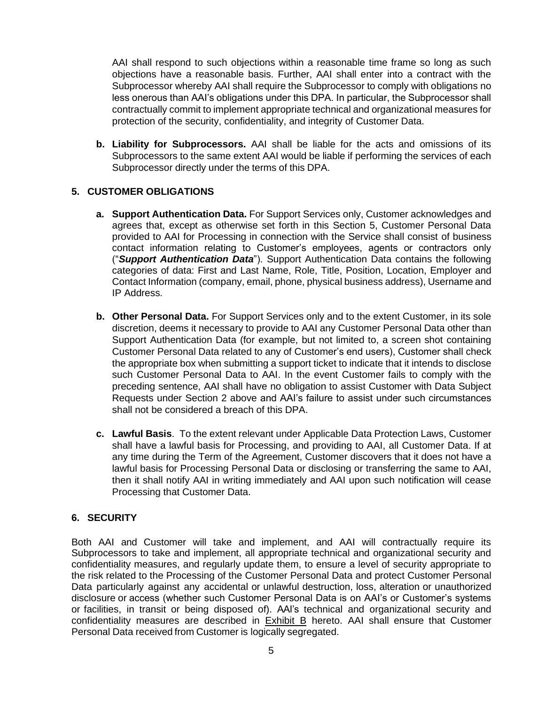AAI shall respond to such objections within a reasonable time frame so long as such objections have a reasonable basis. Further, AAI shall enter into a contract with the Subprocessor whereby AAI shall require the Subprocessor to comply with obligations no less onerous than AAI's obligations under this DPA. In particular, the Subprocessor shall contractually commit to implement appropriate technical and organizational measures for protection of the security, confidentiality, and integrity of Customer Data.

**b. Liability for Subprocessors.** AAI shall be liable for the acts and omissions of its Subprocessors to the same extent AAI would be liable if performing the services of each Subprocessor directly under the terms of this DPA.

#### **5. CUSTOMER OBLIGATIONS**

- **a. Support Authentication Data.** For Support Services only, Customer acknowledges and agrees that, except as otherwise set forth in this Section 5, Customer Personal Data provided to AAI for Processing in connection with the Service shall consist of business contact information relating to Customer's employees, agents or contractors only ("*Support Authentication Data*"). Support Authentication Data contains the following categories of data: First and Last Name, Role, Title, Position, Location, Employer and Contact Information (company, email, phone, physical business address), Username and IP Address.
- **b. Other Personal Data.** For Support Services only and to the extent Customer, in its sole discretion, deems it necessary to provide to AAI any Customer Personal Data other than Support Authentication Data (for example, but not limited to, a screen shot containing Customer Personal Data related to any of Customer's end users), Customer shall check the appropriate box when submitting a support ticket to indicate that it intends to disclose such Customer Personal Data to AAI. In the event Customer fails to comply with the preceding sentence, AAI shall have no obligation to assist Customer with Data Subject Requests under Section 2 above and AAI's failure to assist under such circumstances shall not be considered a breach of this DPA.
- **c. Lawful Basis**. To the extent relevant under Applicable Data Protection Laws, Customer shall have a lawful basis for Processing, and providing to AAI, all Customer Data. If at any time during the Term of the Agreement, Customer discovers that it does not have a lawful basis for Processing Personal Data or disclosing or transferring the same to AAI, then it shall notify AAI in writing immediately and AAI upon such notification will cease Processing that Customer Data.

# **6. SECURITY**

Both AAI and Customer will take and implement, and AAI will contractually require its Subprocessors to take and implement, all appropriate technical and organizational security and confidentiality measures, and regularly update them, to ensure a level of security appropriate to the risk related to the Processing of the Customer Personal Data and protect Customer Personal Data particularly against any accidental or unlawful destruction, loss, alteration or unauthorized disclosure or access (whether such Customer Personal Data is on AAI's or Customer's systems or facilities, in transit or being disposed of). AAI's technical and organizational security and confidentiality measures are described in **Exhibit B** hereto. AAI shall ensure that Customer Personal Data received from Customer is logically segregated.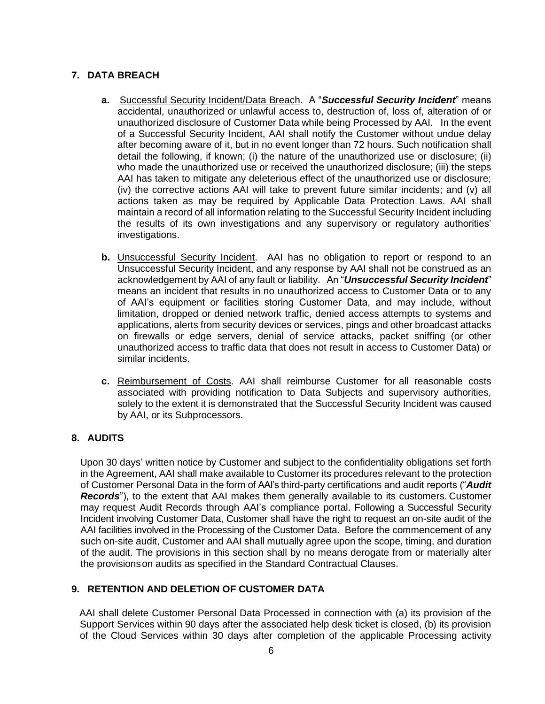# **7. DATA BREACH**

- **a.** Successful Security Incident/Data Breach. A "*Successful Security Incident*" means accidental, unauthorized or unlawful access to, destruction of, loss of, alteration of or unauthorized disclosure of Customer Data while being Processed by AAI. In the event of a Successful Security Incident, AAI shall notify the Customer without undue delay after becoming aware of it, but in no event longer than 72 hours. Such notification shall detail the following, if known; (i) the nature of the unauthorized use or disclosure; (ii) who made the unauthorized use or received the unauthorized disclosure; (iii) the steps AAI has taken to mitigate any deleterious effect of the unauthorized use or disclosure; (iv) the corrective actions AAI will take to prevent future similar incidents; and (v) all actions taken as may be required by Applicable Data Protection Laws. AAI shall maintain a record of all information relating to the Successful Security Incident including the results of its own investigations and any supervisory or regulatory authorities' investigations.
- **b.** Unsuccessful Security Incident. AAI has no obligation to report or respond to an Unsuccessful Security Incident, and any response by AAI shall not be construed as an acknowledgement by AAI of any fault or liability. An "*Unsuccessful Security Incident*" means an incident that results in no unauthorized access to Customer Data or to any of AAI's equipment or facilities storing Customer Data, and may include, without limitation, dropped or denied network traffic, denied access attempts to systems and applications, alerts from security devices or services, pings and other broadcast attacks on firewalls or edge servers, denial of service attacks, packet sniffing (or other unauthorized access to traffic data that does not result in access to Customer Data) or similar incidents.
- **c.** Reimbursement of Costs. AAI shall reimburse Customer for all reasonable costs associated with providing notification to Data Subjects and supervisory authorities, solely to the extent it is demonstrated that the Successful Security Incident was caused by AAI, or its Subprocessors.

# **8. AUDITS**

Upon 30 days' written notice by Customer and subject to the confidentiality obligations set forth in the Agreement, AAI shall make available to Customer its procedures relevant to the protection of Customer Personal Data in the form of AAI's third-party certifications and audit reports ("*Audit Records*"), to the extent that AAI makes them generally available to its customers. Customer may request Audit Records through AAI's compliance portal. Following a Successful Security Incident involving Customer Data, Customer shall have the right to request an on-site audit of the AAI facilities involved in the Processing of the Customer Data. Before the commencement of any such on-site audit, Customer and AAI shall mutually agree upon the scope, timing, and duration of the audit. The provisions in this section shall by no means derogate from or materially alter the provisionson audits as specified in the Standard Contractual Clauses.

# **9. RETENTION AND DELETION OF CUSTOMER DATA**

AAI shall delete Customer Personal Data Processed in connection with (a) its provision of the Support Services within 90 days after the associated help desk ticket is closed, (b) its provision of the Cloud Services within 30 days after completion of the applicable Processing activity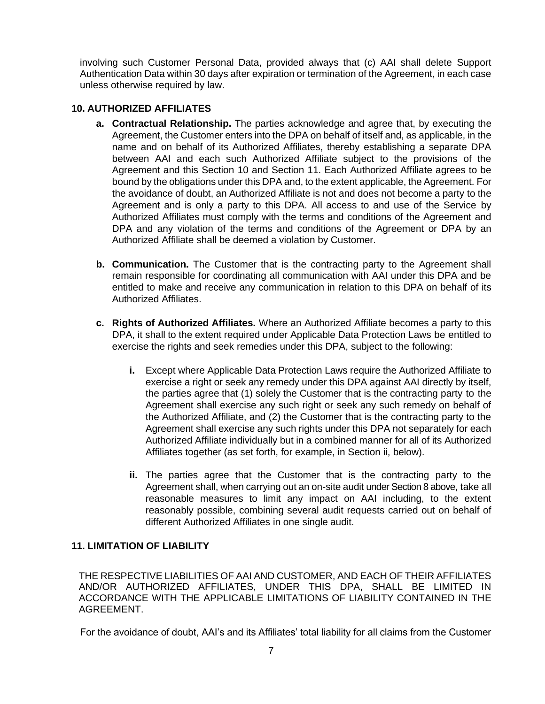involving such Customer Personal Data, provided always that (c) AAI shall delete Support Authentication Data within 30 days after expiration or termination of the Agreement, in each case unless otherwise required by law.

#### **10. AUTHORIZED AFFILIATES**

- **a. Contractual Relationship.** The parties acknowledge and agree that, by executing the Agreement, the Customer enters into the DPA on behalf of itself and, as applicable, in the name and on behalf of its Authorized Affiliates, thereby establishing a separate DPA between AAI and each such Authorized Affiliate subject to the provisions of the Agreement and this Section 10 and Section 11. Each Authorized Affiliate agrees to be bound by the obligations under this DPA and, to the extent applicable, the Agreement. For the avoidance of doubt, an Authorized Affiliate is not and does not become a party to the Agreement and is only a party to this DPA. All access to and use of the Service by Authorized Affiliates must comply with the terms and conditions of the Agreement and DPA and any violation of the terms and conditions of the Agreement or DPA by an Authorized Affiliate shall be deemed a violation by Customer.
- **b. Communication.** The Customer that is the contracting party to the Agreement shall remain responsible for coordinating all communication with AAI under this DPA and be entitled to make and receive any communication in relation to this DPA on behalf of its Authorized Affiliates.
- **c. Rights of Authorized Affiliates.** Where an Authorized Affiliate becomes a party to this DPA, it shall to the extent required under Applicable Data Protection Laws be entitled to exercise the rights and seek remedies under this DPA, subject to the following:
	- **i.** Except where Applicable Data Protection Laws require the Authorized Affiliate to exercise a right or seek any remedy under this DPA against AAI directly by itself, the parties agree that (1) solely the Customer that is the contracting party to the Agreement shall exercise any such right or seek any such remedy on behalf of the Authorized Affiliate, and (2) the Customer that is the contracting party to the Agreement shall exercise any such rights under this DPA not separately for each Authorized Affiliate individually but in a combined manner for all of its Authorized Affiliates together (as set forth, for example, in Section ii, below).
	- **ii.** The parties agree that the Customer that is the contracting party to the Agreement shall, when carrying out an on-site audit under Section 8 above, take all reasonable measures to limit any impact on AAI including, to the extent reasonably possible, combining several audit requests carried out on behalf of different Authorized Affiliates in one single audit.

# **11. LIMITATION OF LIABILITY**

THE RESPECTIVE LIABILITIES OF AAI AND CUSTOMER, AND EACH OF THEIR AFFILIATES AND/OR AUTHORIZED AFFILIATES, UNDER THIS DPA, SHALL BE LIMITED IN ACCORDANCE WITH THE APPLICABLE LIMITATIONS OF LIABILITY CONTAINED IN THE AGREEMENT.

For the avoidance of doubt, AAI's and its Affiliates' total liability for all claims from the Customer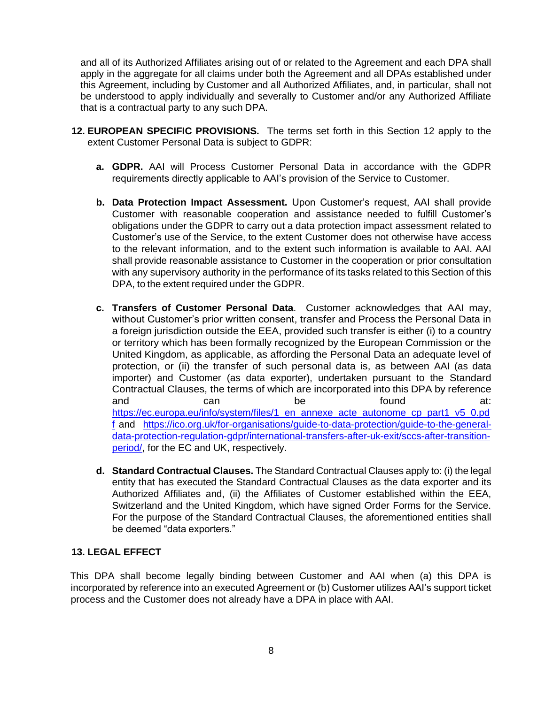and all of its Authorized Affiliates arising out of or related to the Agreement and each DPA shall apply in the aggregate for all claims under both the Agreement and all DPAs established under this Agreement, including by Customer and all Authorized Affiliates, and, in particular, shall not be understood to apply individually and severally to Customer and/or any Authorized Affiliate that is a contractual party to any such DPA.

- **12. EUROPEAN SPECIFIC PROVISIONS.** The terms set forth in this Section 12 apply to the extent Customer Personal Data is subject to GDPR:
	- **a. GDPR.** AAI will Process Customer Personal Data in accordance with the GDPR requirements directly applicable to AAI's provision of the Service to Customer.
	- **b. Data Protection Impact Assessment.** Upon Customer's request, AAI shall provide Customer with reasonable cooperation and assistance needed to fulfill Customer's obligations under the GDPR to carry out a data protection impact assessment related to Customer's use of the Service, to the extent Customer does not otherwise have access to the relevant information, and to the extent such information is available to AAI. AAI shall provide reasonable assistance to Customer in the cooperation or prior consultation with any supervisory authority in the performance of its tasks related to this Section of this DPA, to the extent required under the GDPR.
	- **c. Transfers of Customer Personal Data**. Customer acknowledges that AAI may, without Customer's prior written consent, transfer and Process the Personal Data in a foreign jurisdiction outside the EEA, provided such transfer is either (i) to a country or territory which has been formally recognized by the European Commission or the United Kingdom, as applicable, as affording the Personal Data an adequate level of protection, or (ii) the transfer of such personal data is, as between AAI (as data importer) and Customer (as data exporter), undertaken pursuant to the Standard Contractual Clauses, the terms of which are incorporated into this DPA by reference and can can be found at: [https://ec.europa.eu/info/system/files/1\\_en\\_annexe\\_acte\\_autonome\\_cp\\_part1\\_v5\\_0.pd](https://ec.europa.eu/info/system/files/1_en_annexe_acte_autonome_cp_part1_v5_0.pdf) [f](https://ec.europa.eu/info/system/files/1_en_annexe_acte_autonome_cp_part1_v5_0.pdf) and [https://ico.org.uk/for-organisations/guide-to-data-protection/guide-to-the-general](https://ico.org.uk/for-organisations/guide-to-data-protection/guide-to-the-general-data-protection-regulation-gdpr/international-transfers-after-uk-exit/sccs-after-transition-period/)[data-protection-regulation-gdpr/international-transfers-after-uk-exit/sccs-after-transition](https://ico.org.uk/for-organisations/guide-to-data-protection/guide-to-the-general-data-protection-regulation-gdpr/international-transfers-after-uk-exit/sccs-after-transition-period/)[period/,](https://ico.org.uk/for-organisations/guide-to-data-protection/guide-to-the-general-data-protection-regulation-gdpr/international-transfers-after-uk-exit/sccs-after-transition-period/) for the EC and UK, respectively.
	- **d. Standard Contractual Clauses.** The Standard Contractual Clauses apply to: (i) the legal entity that has executed the Standard Contractual Clauses as the data exporter and its Authorized Affiliates and, (ii) the Affiliates of Customer established within the EEA, Switzerland and the United Kingdom, which have signed Order Forms for the Service. For the purpose of the Standard Contractual Clauses, the aforementioned entities shall be deemed "data exporters."

# **13. LEGAL EFFECT**

This DPA shall become legally binding between Customer and AAI when (a) this DPA is incorporated by reference into an executed Agreement or (b) Customer utilizes AAI's support ticket process and the Customer does not already have a DPA in place with AAI.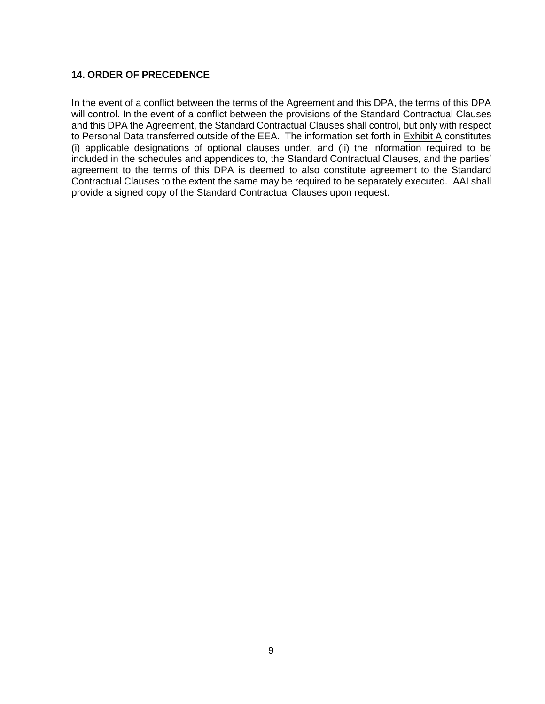#### **14. ORDER OF PRECEDENCE**

In the event of a conflict between the terms of the Agreement and this DPA, the terms of this DPA will control. In the event of a conflict between the provisions of the Standard Contractual Clauses and this DPA the Agreement, the Standard Contractual Clauses shall control, but only with respect to Personal Data transferred outside of the EEA. The information set forth in **Exhibit A** constitutes (i) applicable designations of optional clauses under, and (ii) the information required to be included in the schedules and appendices to, the Standard Contractual Clauses, and the parties' agreement to the terms of this DPA is deemed to also constitute agreement to the Standard Contractual Clauses to the extent the same may be required to be separately executed. AAI shall provide a signed copy of the Standard Contractual Clauses upon request.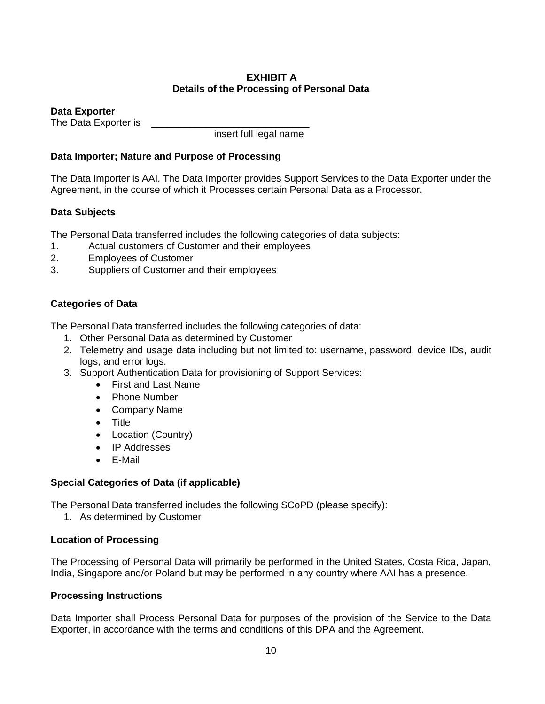# **EXHIBIT A Details of the Processing of Personal Data**

**Data Exporter**

The Data Exporter is

insert full legal name

# **Data Importer; Nature and Purpose of Processing**

The Data Importer is AAI. The Data Importer provides Support Services to the Data Exporter under the Agreement, in the course of which it Processes certain Personal Data as a Processor.

# **Data Subjects**

The Personal Data transferred includes the following categories of data subjects:

- 1. Actual customers of Customer and their employees
- 2. Employees of Customer
- 3. Suppliers of Customer and their employees

# **Categories of Data**

The Personal Data transferred includes the following categories of data:

- 1. Other Personal Data as determined by Customer
- 2. Telemetry and usage data including but not limited to: username, password, device IDs, audit logs, and error logs.
- 3. Support Authentication Data for provisioning of Support Services:
	- First and Last Name
	- Phone Number
	- Company Name
	- Title
	- Location (Country)
	- IP Addresses
	- E-Mail

# **Special Categories of Data (if applicable)**

The Personal Data transferred includes the following SCoPD (please specify):

1. As determined by Customer

# **Location of Processing**

The Processing of Personal Data will primarily be performed in the United States, Costa Rica, Japan, India, Singapore and/or Poland but may be performed in any country where AAI has a presence.

# **Processing Instructions**

Data Importer shall Process Personal Data for purposes of the provision of the Service to the Data Exporter, in accordance with the terms and conditions of this DPA and the Agreement.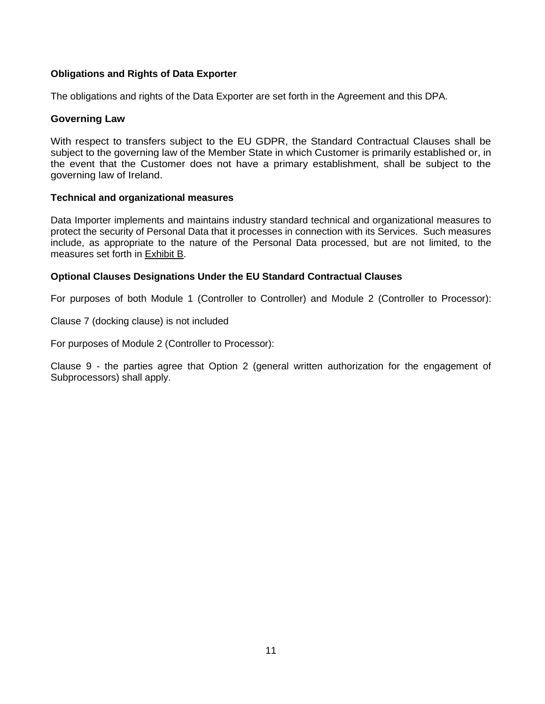# **Obligations and Rights of Data Exporter**

The obligations and rights of the Data Exporter are set forth in the Agreement and this DPA.

#### **Governing Law**

With respect to transfers subject to the EU GDPR, the Standard Contractual Clauses shall be subject to the governing law of the Member State in which Customer is primarily established or, in the event that the Customer does not have a primary establishment, shall be subject to the governing law of Ireland.

#### **Technical and organizational measures**

Data Importer implements and maintains industry standard technical and organizational measures to protect the security of Personal Data that it processes in connection with its Services. Such measures include, as appropriate to the nature of the Personal Data processed, but are not limited, to the measures set forth in **Exhibit B.** 

# **Optional Clauses Designations Under the EU Standard Contractual Clauses**

For purposes of both Module 1 (Controller to Controller) and Module 2 (Controller to Processor):

Clause 7 (docking clause) is not included

For purposes of Module 2 (Controller to Processor):

Clause 9 - the parties agree that Option 2 (general written authorization for the engagement of Subprocessors) shall apply.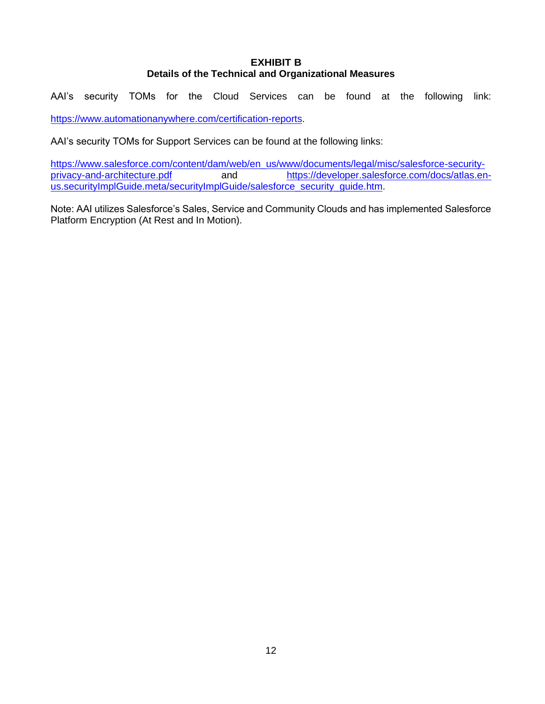# **EXHIBIT B Details of the Technical and Organizational Measures**

AAI's security TOMs for the Cloud Services can be found at the following link: [https://www.automationanywhere.com/certification-reports.](https://www.automationanywhere.com/certification-reports)

AAI's security TOMs for Support Services can be found at the following links:

[https://www.salesforce.com/content/dam/web/en\\_us/www/documents/legal/misc/salesforce-security](https://www.salesforce.com/content/dam/web/en_us/www/documents/legal/misc/salesforce-security-privacy-and-architecture.pdf)[privacy-and-architecture.pdf](https://www.salesforce.com/content/dam/web/en_us/www/documents/legal/misc/salesforce-security-privacy-and-architecture.pdf) and [https://developer.salesforce.com/docs/atlas.en](https://developer.salesforce.com/docs/atlas.en-us.securityImplGuide.meta/securityImplGuide/salesforce_security_guide.htm)[us.securityImplGuide.meta/securityImplGuide/salesforce\\_security\\_guide.htm.](https://developer.salesforce.com/docs/atlas.en-us.securityImplGuide.meta/securityImplGuide/salesforce_security_guide.htm)

Note: AAI utilizes Salesforce's Sales, Service and Community Clouds and has implemented Salesforce Platform Encryption (At Rest and In Motion).